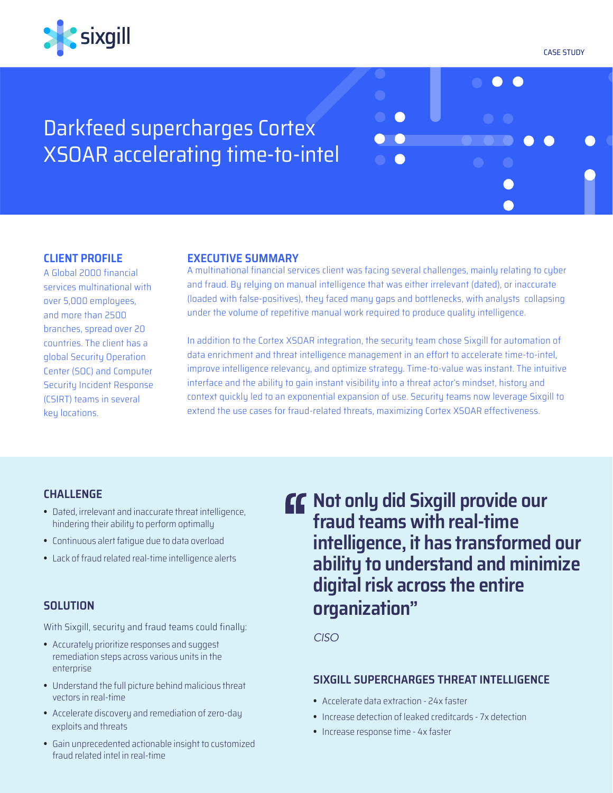

CASE STUDY

 $\bullet$   $\bullet$ 

# Darkfeed supercharges Cortex XSOAR accelerating time-to-intel

## **CLIENT PROFILE**

A Global 2000 financial services multinational with over 5,000 employees, and more than 2500 branches, spread over 20 countries. The client has a global Security Operation Center (SOC) and Computer Security Incident Response (CSIRT) teams in several key locations.

## **EXECUTIVE SUMMARY**

A multinational financial services client was facing several challenges, mainly relating to cyber and fraud. By relying on manual intelligence that was either irrelevant (dated), or inaccurate (loaded with false-positives), they faced many gaps and bottlenecks, with analysts collapsing under the volume of repetitive manual work required to produce quality intelligence.

In addition to the Cortex XSOAR integration, the security team chose Sixgill for automation of data enrichment and threat intelligence management in an effort to accelerate time-to-intel, improve intelligence relevancy, and optimize strategy. Time-to-value was instant. The intuitive interface and the ability to gain instant visibility into a threat actor's mindset, history and context quickly led to an exponential expansion of use. Security teams now leverage Sixgill to extend the use cases for fraud-related threats, maximizing Cortex XSOAR effectiveness.

## **CHALLENGE**

- **•**  Dated, irrelevant and inaccurate threat intelligence, hindering their ability to perform optimally
- **•**  Continuous alert fatigue due to data overload
- **•**  Lack of fraud related real-time intelligence alerts

# **SOLUTION**

With Sixgill, security and fraud teams could finally:

- **•**  Accurately prioritize responses and suggest remediation steps across various units in the enterprise
- **•**  Understand the full picture behind malicious threat vectors in real-time
- **•**  Accelerate discovery and remediation of zero-day exploits and threats
- **•**  Gain unprecedented actionable insight to customized fraud related intel in real-time

**CC** Not only did Sixgill provide our **fraud teams with real-time intelligence, it has transformed our ability to understand and minimize digital risk across the entire organization"**

*CISO*

## **SIXGILL SUPERCHARGES THREAT INTELLIGENCE**

- **•**  Accelerate data extraction 24x faster
- **•**  Increase detection of leaked creditcards 7x detection
- **•**  Increase response time 4x faster